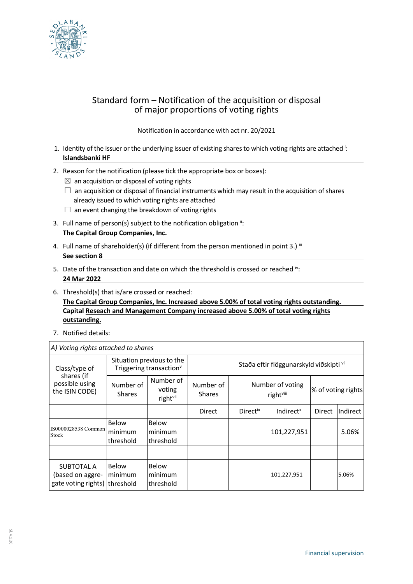

## Standard form – Notification of the acquisition or disposal of major proportions of voting rights

Notification in accordance with act nr. 20/2021

- 1. Identity of the issuer or the underlying issuer of existing shares to which voting rights are attached i: **Islandsbanki HF**
- 2. Reason for the notification (please tick the appropriate box or boxes):
	- $\boxtimes$  an acquisition or disposal of voting rights
	- $\Box$  an acquisition or disposal of financial instruments which may result in the acquisition of shares already issued to which voting rights are attached
	- $\Box$  an event changing the breakdown of voting rights
- 3. Full name of person(s) subject to the notification obligation  $\mathbb{I}$ :

**The Capital Group Companies, Inc.**

- 4. Full name of shareholder(s) (if different from the person mentioned in point 3.) iii **See section 8**
- 5. Date of the transaction and date on which the threshold is crossed or reached iv: **24 Mar 2022**
- 6. Threshold(s) that is/are crossed or reached:

**The Capital Group Companies, Inc. Increased above 5.00% of total voting rights outstanding. Capital Reseach and Management Company increased above 5.00% of total voting rights outstanding.**

7. Notified details:

| A) Voting rights attached to shares                                    |                                                                  |                                 |                                         |                                           |                       |                    |          |
|------------------------------------------------------------------------|------------------------------------------------------------------|---------------------------------|-----------------------------------------|-------------------------------------------|-----------------------|--------------------|----------|
| Class/type of<br>shares (if<br>possible using<br>the ISIN CODE)        | Situation previous to the<br>Triggering transaction <sup>v</sup> |                                 | Staða eftir flöggunarskyld viðskipti vi |                                           |                       |                    |          |
|                                                                        | Number of<br><b>Shares</b>                                       | Number of<br>voting<br>rightvii | Number of<br><b>Shares</b>              | Number of voting<br>right <sup>viii</sup> |                       | % of voting rights |          |
|                                                                        |                                                                  |                                 | Direct                                  | <b>Directix</b>                           | Indirect <sup>x</sup> | <b>Direct</b>      | Indirect |
| IS0000028538 Common<br>Stock                                           | <b>Below</b><br>minimum<br>threshold                             | Below<br>minimum<br>threshold   |                                         |                                           | 101,227,951           |                    | 5.06%    |
| <b>SUBTOTAL A</b><br>(based on aggre-<br>gate voting rights) threshold | Below<br>minimum                                                 | Below<br>minimum<br>threshold   |                                         |                                           | 101,227,951           |                    | 5.06%    |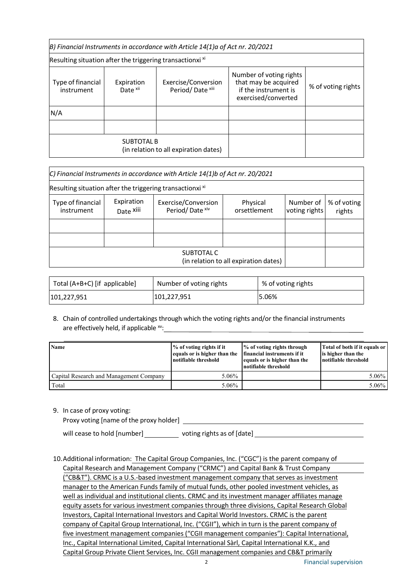| $\beta$ ) Financial Instruments in accordance with Article 14(1)a of Act nr. 20/2021 |                                   |                                                                                                                                           |  |                    |  |
|--------------------------------------------------------------------------------------|-----------------------------------|-------------------------------------------------------------------------------------------------------------------------------------------|--|--------------------|--|
| Resulting situation after the triggering transactionxi <sup>xi</sup>                 |                                   |                                                                                                                                           |  |                    |  |
| Type of financial<br>instrument                                                      | Expiration<br>Date <sup>xii</sup> | Number of voting rights<br>that may be acquired<br>Exercise/Conversion<br>Period/Date xiii<br>if the instrument is<br>exercised/converted |  | % of voting rights |  |
| N/A                                                                                  |                                   |                                                                                                                                           |  |                    |  |
|                                                                                      |                                   |                                                                                                                                           |  |                    |  |
|                                                                                      | <b>SUBTOTAL B</b>                 | (in relation to all expiration dates)                                                                                                     |  |                    |  |

|                                                                      |                         | $C$ ) Financial Instruments in accordance with Article 14(1)b of Act nr. 20/2021 |                                       |                            |                       |  |
|----------------------------------------------------------------------|-------------------------|----------------------------------------------------------------------------------|---------------------------------------|----------------------------|-----------------------|--|
| Resulting situation after the triggering transactionxi <sup>xi</sup> |                         |                                                                                  |                                       |                            |                       |  |
| Type of financial<br>instrument                                      | Expiration<br>Date Xiii | Exercise/Conversion<br>Period/Date xiv                                           | Physical<br>orsettlement              | Number of<br>voting rights | % of voting<br>rights |  |
|                                                                      |                         |                                                                                  |                                       |                            |                       |  |
|                                                                      |                         |                                                                                  |                                       |                            |                       |  |
|                                                                      |                         | SUBTOTAL C                                                                       | (in relation to all expiration dates) |                            |                       |  |

| Total (A+B+C) [if applicable] | Number of voting rights | % of voting rights |
|-------------------------------|-------------------------|--------------------|
| 101,227,951                   | 101,227,951             | 5.06%              |

8. Chain of controlled undertakings through which the voting rights and/or the financial instruments are effectively held, if applicable xv:

| <b>Name</b>                             | % of voting rights if it<br>equals or is higher than the<br>notifiable threshold | % of voting rights through<br>financial instruments if it<br>equals or is higher than the<br>notifiable threshold | Total of both if it equals or<br>is higher than the<br>notifiable threshold |
|-----------------------------------------|----------------------------------------------------------------------------------|-------------------------------------------------------------------------------------------------------------------|-----------------------------------------------------------------------------|
| Capital Research and Management Company | 5.06%                                                                            |                                                                                                                   | $5.06\%$                                                                    |
| Total                                   | 5.06%                                                                            |                                                                                                                   | 5.06%                                                                       |

9. In case of proxy voting:

Proxy voting [name of the proxy holder]

will cease to hold [number] \_\_\_\_\_\_\_\_\_\_ voting rights as of [date] \_\_\_\_\_\_\_\_

10.Additional information: The Capital Group Companies, Inc. ("CGC") is the parent company of Capital Research and Management Company ("CRMC") and Capital Bank & Trust Company ("CB&T"). CRMC is a U.S.-based investment management company that serves as investment manager to the American Funds family of mutual funds, other pooled investment vehicles, as well as individual and institutional clients. CRMC and its investment manager affiliates manage equity assets for various investment companies through three divisions, Capital Research Global Investors, Capital International Investors and Capital World Investors. CRMC is the parent company of Capital Group International, Inc. ("CGII"), which in turn is the parent company of five investment management companies ("CGII management companies"): Capital International, Inc., Capital International Limited, Capital International Sàrl, Capital International K.K., and Capital Group Private Client Services, Inc. CGII management companies and CB&T primarily